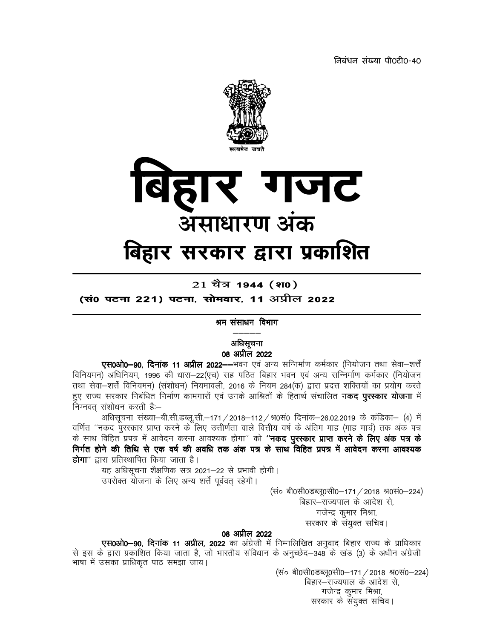निबंधन संख्या पी0टी0-40



21 चैत्र 1944 (श0)

(सं0 पटना 221) पटना, सोमवार, 11 अप्रील 2022

## श्रम संसाधन विभाग

## अधिसूचना 08 अप्रील 2022

**एस0ओ0–90. दिनांक 11 अप्रील 2022––**भवन एवं अन्य सन्निर्माण कर्मकार (नियोजन तथा सेवा–शर्तें विनियमन) अधिनियम, 1996 की धारा—22(एच) सह पठित बिहार भवन एवं अन्य सन्निर्माण कर्मकार (नियोजन तथा सेवा-शर्त्तें विनियमन) (संशोधन) नियमावली, 2016 के नियम 284(क) द्वारा प्रदत्त शक्तियों का प्रयोग करते हुए राज्य सरकार निबंधित निर्माण कामगारों एवं उनके आश्रितों के हितार्थ संचालित **नकद पुरस्कार योजना** में निम्नवत संशोधन करती है:–

अधिसूचना संख्या-बी.सी.डब्लू.सी.-171 / 2018-112 / श्र0सं0 दिनांक-26.02.2019 के कंडिका- (4) में वर्णित ''नकद पुरस्कार प्राप्त करने के लिए उत्तीर्णता वाले वित्तीय वर्ष के अंतिम माह (माह मार्च) तक अंक पत्र के साथ विहित प्रपत्र में आवेदन करना आवश्यक होगा'' को **''नकद पुरस्कार प्राप्त करने के लिए अंक पत्र के** निर्गत होने की तिथि से एक वर्ष की अवधि तक अंक पत्र के साथ विहित प्रपत्र में आवेदन करना आवश्यक **होगा**" द्वारा प्रतिस्थापित किया जाता है।

यह अधिसूचना शैक्षणिक सत्र 2021–22 से प्रभावी होगी। उपरोक्त योजना के लिए अन्य शर्त्त पूर्ववत् रहेगी।

> (सं० बी0सी0डब्लू0सी0-171 / 2018 श्र0सं0-224) बिहार—राज्यपाल के आदेश से, गजेन्द्र कुमार मिश्रा, सरकार के संयुक्त सचिव।

## 08 अप्रील 2022

**एस0ओ0–90, दिनांक 11 अप्रील, 2022** का अंग्रेजी में निम्नलिखित अनुवाद बिहार राज्य के प्राधिकार से इस के द्वारा प्रकाशित किया जाता है, जो भारतीय संविधान के अनुच्छेद–348 के खंड (3) के अधीन अंग्रेजी भाषा में उसका प्राधिकृत पाठ समझा जाय।

(सं० बी0सी0डब्लू0सी0-171 / 2018 श्र0सं0-224) बिहार–राज्यपाल के आदेश से, गजेन्द्र कुमार मिश्रा, सरकार के संयुक्त सचिव।